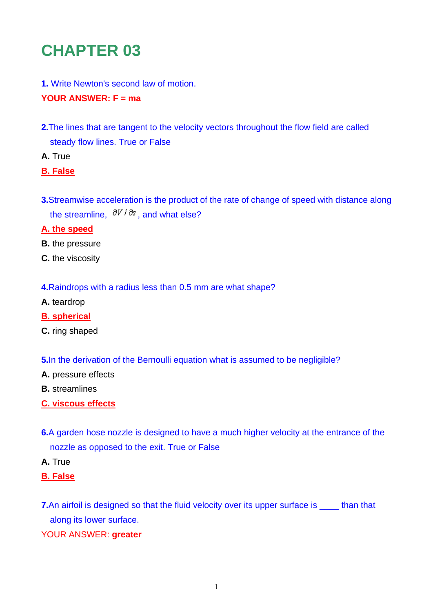# **CHAPTER 03**

**1.** Write Newton's second law of motion.

## **YOUR ANSWER: F = ma**

- **2.**The lines that are tangent to the velocity vectors throughout the flow field are called steady flow lines. True or False
- **A.** True
- **B. False**
- **3.**Streamwise acceleration is the product of the rate of change of speed with distance along the streamline,  $\partial V / \partial s$ , and what else?

## **A. the speed**

- **B.** the pressure
- **C.** the viscosity
- **4.**Raindrops with a radius less than 0.5 mm are what shape?
- **A.** teardrop
- **B. spherical**
- **C.** ring shaped

**5.** In the derivation of the Bernoulli equation what is assumed to be negligible?

- **A.** pressure effects
- **B.** streamlines
- **C. viscous effects**
- **6.**A garden hose nozzle is designed to have a much higher velocity at the entrance of the nozzle as opposed to the exit. True or False
- **A.** True
- **B. False**
- **7.**An airfoil is designed so that the fluid velocity over its upper surface is \_\_\_\_\_ than that along its lower surface.
- YOUR ANSWER: **greater**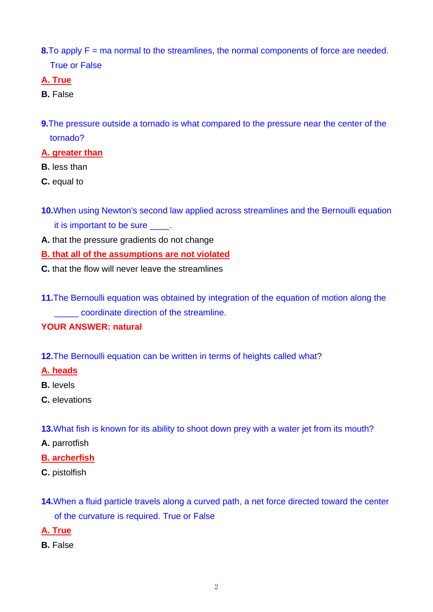**8.**To apply F = ma normal to the streamlines, the normal components of force are needed. True or False

# **A. True**

# **B.** False

**9.**The pressure outside a tornado is what compared to the pressure near the center of the tornado?

## **A. greater than**

- **B.** less than
- **C.** equal to
- **10.**When using Newton's second law applied across streamlines and the Bernoulli equation it is important to be sure \_\_\_\_.
- **A.** that the pressure gradients do not change

**B. that all of the assumptions are not violated**

- **C.** that the flow will never leave the streamlines
- **11.**The Bernoulli equation was obtained by integration of the equation of motion along the \_\_\_\_\_ coordinate direction of the streamline.

# **YOUR ANSWER: natural**

**12.**The Bernoulli equation can be written in terms of heights called what?

# **A. heads**

- **B.** levels
- **C.** elevations
- **13.**What fish is known for its ability to shoot down prey with a water jet from its mouth?
- **A.** parrotfish

# **B. archerfish**

- **C.** pistolfish
- **14.**When a fluid particle travels along a curved path, a net force directed toward the center of the curvature is required. True or False
- **A. True**
- **B.** False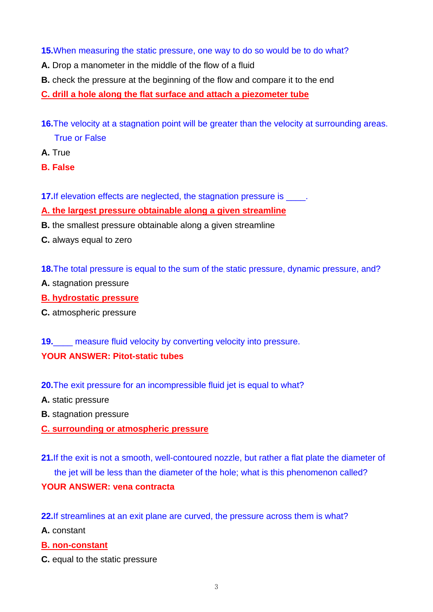## **15.**When measuring the static pressure, one way to do so would be to do what?

- **A.** Drop a manometer in the middle of the flow of a fluid
- **B.** check the pressure at the beginning of the flow and compare it to the end

**C. drill a hole along the flat surface and attach a piezometer tube**

- **16.**The velocity at a stagnation point will be greater than the velocity at surrounding areas. True or False
- **A.** True
- **B. False**
- **17.** If elevation effects are neglected, the stagnation pressure is \_\_\_\_\_.

## **A. the largest pressure obtainable along a given streamline**

- **B.** the smallest pressure obtainable along a given streamline
- **C.** always equal to zero

**18.**The total pressure is equal to the sum of the static pressure, dynamic pressure, and?

- **A.** stagnation pressure
- **B. hydrostatic pressure**
- **C.** atmospheric pressure

**19.** measure fluid velocity by converting velocity into pressure. **YOUR ANSWER: Pitot-static tubes** 

- **20.**The exit pressure for an incompressible fluid jet is equal to what?
- **A.** static pressure
- **B.** stagnation pressure
- **C. surrounding or atmospheric pressure**
- **21.**If the exit is not a smooth, well-contoured nozzle, but rather a flat plate the diameter of the jet will be less than the diameter of the hole; what is this phenomenon called?

## **YOUR ANSWER: vena contracta**

**22.**If streamlines at an exit plane are curved, the pressure across them is what?

**A.** constant

#### **B. non-constant**

**C.** equal to the static pressure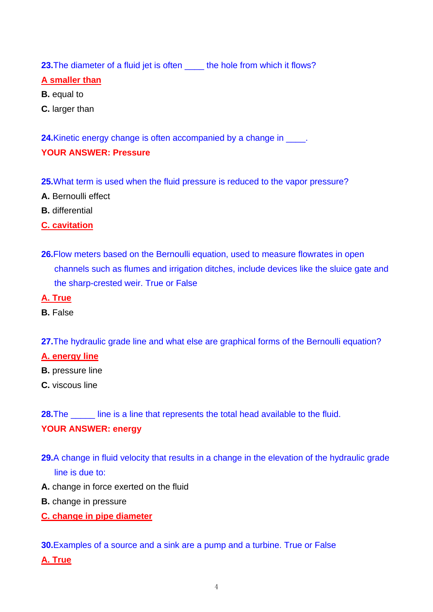**23.**The diameter of a fluid jet is often the hole from which it flows?

## **A smaller than**

- **B.** equal to
- **C.** larger than

**24.**Kinetic energy change is often accompanied by a change in \_\_\_\_. **YOUR ANSWER: Pressure** 

- **25.**What term is used when the fluid pressure is reduced to the vapor pressure?
- **A.** Bernoulli effect
- **B.** differential

## **C. cavitation**

- **26.**Flow meters based on the Bernoulli equation, used to measure flowrates in open channels such as flumes and irrigation ditches, include devices like the sluice gate and the sharp-crested weir. True or False
- **A. True**
- **B.** False

**27.**The hydraulic grade line and what else are graphical forms of the Bernoulli equation?

#### **A. energy line**

- **B.** pressure line
- **C.** viscous line

**28.**The \_\_\_\_\_ line is a line that represents the total head available to the fluid.

# **YOUR ANSWER: energy**

- **29.**A change in fluid velocity that results in a change in the elevation of the hydraulic grade line is due to:
- **A.** change in force exerted on the fluid
- **B.** change in pressure
- **C. change in pipe diameter**

#### **30.**Examples of a source and a sink are a pump and a turbine. True or False

**A. True**